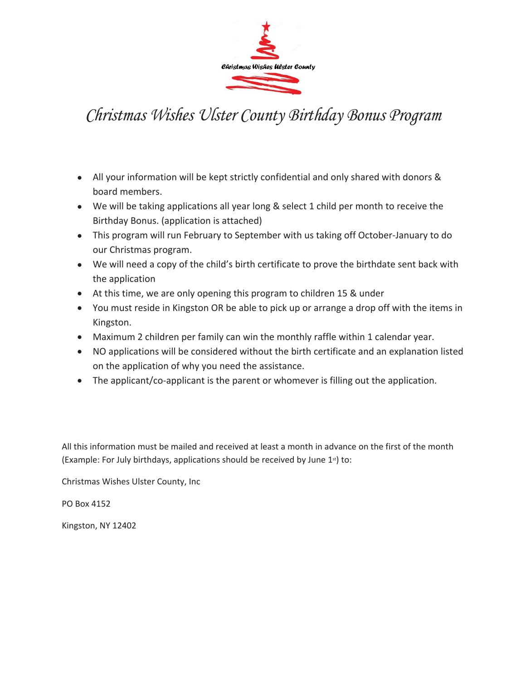

## *Christmas Wishes Ulster County Birthday Bonus Program*

- All your information will be kept strictly confidential and only shared with donors & board members.
- We will be taking applications all year long & select 1 child per month to receive the Birthday Bonus. (application is attached)
- This program will run February to September with us taking off October-January to do our Christmas program.
- We will need a copy of the child's birth certificate to prove the birthdate sent back with the application
- At this time, we are only opening this program to children 15 & under
- You must reside in Kingston OR be able to pick up or arrange a drop off with the items in Kingston.
- Maximum 2 children per family can win the monthly raffle within 1 calendar year.
- NO applications will be considered without the birth certificate and an explanation listed on the application of why you need the assistance.
- The applicant/co-applicant is the parent or whomever is filling out the application.

All this information must be mailed and received at least a month in advance on the first of the month (Example: For July birthdays, applications should be received by June  $1<sup>st</sup>$ ) to:

Christmas Wishes Ulster County, Inc

PO Box 4152

Kingston, NY 12402